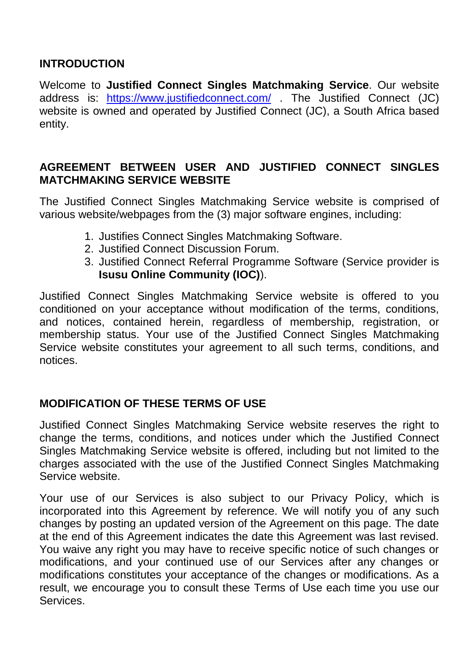## **INTRODUCTION**

Welcome to **Justified Connect Singles Matchmaking Service**. Our website address is: <https://www.justifiedconnect.com/> . The Justified Connect (JC) website is owned and operated by Justified Connect (JC), a South Africa based entity.

## **AGREEMENT BETWEEN USER AND JUSTIFIED CONNECT SINGLES MATCHMAKING SERVICE WEBSITE**

The Justified Connect Singles Matchmaking Service website is comprised of various website/webpages from the (3) major software engines, including:

- 1. Justifies Connect Singles Matchmaking Software.
- 2. Justified Connect Discussion Forum.
- 3. Justified Connect Referral Programme Software (Service provider is **Isusu Online Community (IOC)**).

Justified Connect Singles Matchmaking Service website is offered to you conditioned on your acceptance without modification of the terms, conditions, and notices, contained herein, regardless of membership, registration, or membership status. Your use of the Justified Connect Singles Matchmaking Service website constitutes your agreement to all such terms, conditions, and notices.

## **MODIFICATION OF THESE TERMS OF USE**

Justified Connect Singles Matchmaking Service website reserves the right to change the terms, conditions, and notices under which the Justified Connect Singles Matchmaking Service website is offered, including but not limited to the charges associated with the use of the Justified Connect Singles Matchmaking Service website.

Your use of our Services is also subject to our Privacy Policy, which is incorporated into this Agreement by reference. We will notify you of any such changes by posting an updated version of the Agreement on this page. The date at the end of this Agreement indicates the date this Agreement was last revised. You waive any right you may have to receive specific notice of such changes or modifications, and your continued use of our Services after any changes or modifications constitutes your acceptance of the changes or modifications. As a result, we encourage you to consult these Terms of Use each time you use our Services.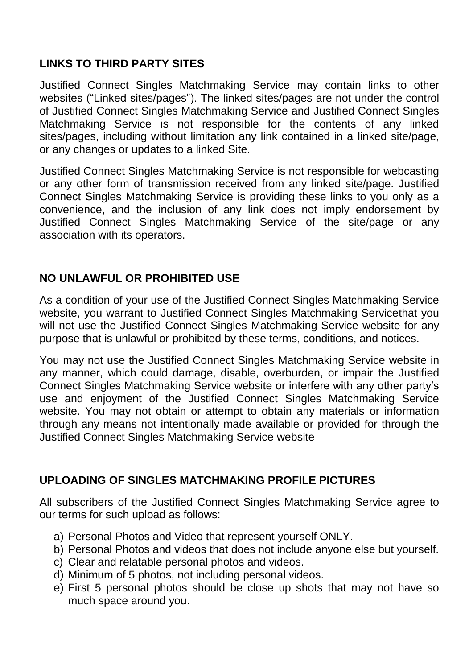# **LINKS TO THIRD PARTY SITES**

Justified Connect Singles Matchmaking Service may contain links to other websites ("Linked sites/pages"). The linked sites/pages are not under the control of Justified Connect Singles Matchmaking Service and Justified Connect Singles Matchmaking Service is not responsible for the contents of any linked sites/pages, including without limitation any link contained in a linked site/page, or any changes or updates to a linked Site.

Justified Connect Singles Matchmaking Service is not responsible for webcasting or any other form of transmission received from any linked site/page. Justified Connect Singles Matchmaking Service is providing these links to you only as a convenience, and the inclusion of any link does not imply endorsement by Justified Connect Singles Matchmaking Service of the site/page or any association with its operators.

# **NO UNLAWFUL OR PROHIBITED USE**

As a condition of your use of the Justified Connect Singles Matchmaking Service website, you warrant to Justified Connect Singles Matchmaking Servicethat you will not use the Justified Connect Singles Matchmaking Service website for any purpose that is unlawful or prohibited by these terms, conditions, and notices.

You may not use the Justified Connect Singles Matchmaking Service website in any manner, which could damage, disable, overburden, or impair the Justified Connect Singles Matchmaking Service website or interfere with any other party's use and enjoyment of the Justified Connect Singles Matchmaking Service website. You may not obtain or attempt to obtain any materials or information through any means not intentionally made available or provided for through the Justified Connect Singles Matchmaking Service website

# **UPLOADING OF SINGLES MATCHMAKING PROFILE PICTURES**

All subscribers of the Justified Connect Singles Matchmaking Service agree to our terms for such upload as follows:

- a) Personal Photos and Video that represent yourself ONLY.
- b) Personal Photos and videos that does not include anyone else but yourself.
- c) Clear and relatable personal photos and videos.
- d) Minimum of 5 photos, not including personal videos.
- e) First 5 personal photos should be close up shots that may not have so much space around you.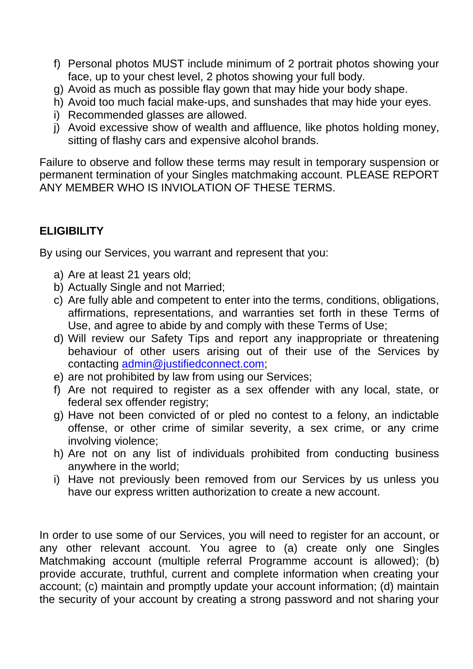- f) Personal photos MUST include minimum of 2 portrait photos showing your face, up to your chest level, 2 photos showing your full body.
- g) Avoid as much as possible flay gown that may hide your body shape.
- h) Avoid too much facial make-ups, and sunshades that may hide your eyes.
- i) Recommended glasses are allowed.
- j) Avoid excessive show of wealth and affluence, like photos holding money, sitting of flashy cars and expensive alcohol brands.

Failure to observe and follow these terms may result in temporary suspension or permanent termination of your Singles matchmaking account. PLEASE REPORT ANY MEMBER WHO IS INVIOLATION OF THESE TERMS.

# **ELIGIBILITY**

By using our Services, you warrant and represent that you:

- a) Are at least 21 years old;
- b) Actually Single and not Married;
- c) Are fully able and competent to enter into the terms, conditions, obligations, affirmations, representations, and warranties set forth in these Terms of Use, and agree to abide by and comply with these Terms of Use;
- d) Will review our Safety Tips and report any inappropriate or threatening behaviour of other users arising out of their use of the Services by contacting [admin@justifiedconnect.com;](mailto:admin@justifiedconnect.com)
- e) are not prohibited by law from using our Services;
- f) Are not required to register as a sex offender with any local, state, or federal sex offender registry;
- g) Have not been convicted of or pled no contest to a felony, an indictable offense, or other crime of similar severity, a sex crime, or any crime involving violence;
- h) Are not on any list of individuals prohibited from conducting business anywhere in the world;
- i) Have not previously been removed from our Services by us unless you have our express written authorization to create a new account.

In order to use some of our Services, you will need to register for an account, or any other relevant account. You agree to (a) create only one Singles Matchmaking account (multiple referral Programme account is allowed); (b) provide accurate, truthful, current and complete information when creating your account; (c) maintain and promptly update your account information; (d) maintain the security of your account by creating a strong password and not sharing your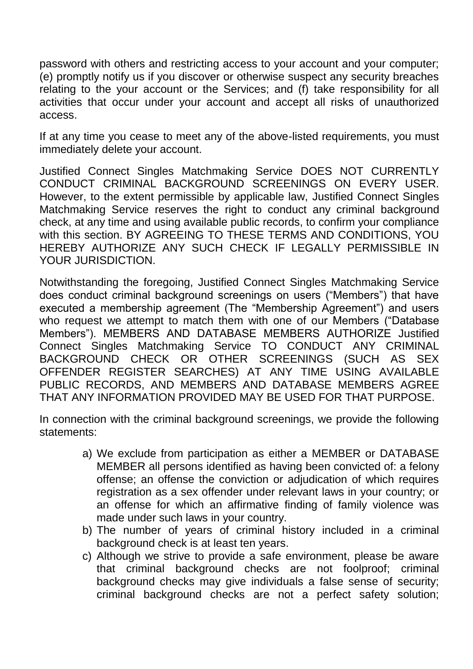password with others and restricting access to your account and your computer; (e) promptly notify us if you discover or otherwise suspect any security breaches relating to the your account or the Services; and (f) take responsibility for all activities that occur under your account and accept all risks of unauthorized access.

If at any time you cease to meet any of the above-listed requirements, you must immediately delete your account.

Justified Connect Singles Matchmaking Service DOES NOT CURRENTLY CONDUCT CRIMINAL BACKGROUND SCREENINGS ON EVERY USER. However, to the extent permissible by applicable law, Justified Connect Singles Matchmaking Service reserves the right to conduct any criminal background check, at any time and using available public records, to confirm your compliance with this section. BY AGREEING TO THESE TERMS AND CONDITIONS, YOU HEREBY AUTHORIZE ANY SUCH CHECK IF LEGALLY PERMISSIBLE IN YOUR JURISDICTION.

Notwithstanding the foregoing, Justified Connect Singles Matchmaking Service does conduct criminal background screenings on users ("Members") that have executed a membership agreement (The "Membership Agreement") and users who request we attempt to match them with one of our Members ("Database Members"). MEMBERS AND DATABASE MEMBERS AUTHORIZE Justified Connect Singles Matchmaking Service TO CONDUCT ANY CRIMINAL BACKGROUND CHECK OR OTHER SCREENINGS (SUCH AS SEX OFFENDER REGISTER SEARCHES) AT ANY TIME USING AVAILABLE PUBLIC RECORDS, AND MEMBERS AND DATABASE MEMBERS AGREE THAT ANY INFORMATION PROVIDED MAY BE USED FOR THAT PURPOSE.

In connection with the criminal background screenings, we provide the following statements:

- a) We exclude from participation as either a MEMBER or DATABASE MEMBER all persons identified as having been convicted of: a felony offense; an offense the conviction or adjudication of which requires registration as a sex offender under relevant laws in your country; or an offense for which an affirmative finding of family violence was made under such laws in your country.
- b) The number of years of criminal history included in a criminal background check is at least ten years.
- c) Although we strive to provide a safe environment, please be aware that criminal background checks are not foolproof; criminal background checks may give individuals a false sense of security; criminal background checks are not a perfect safety solution;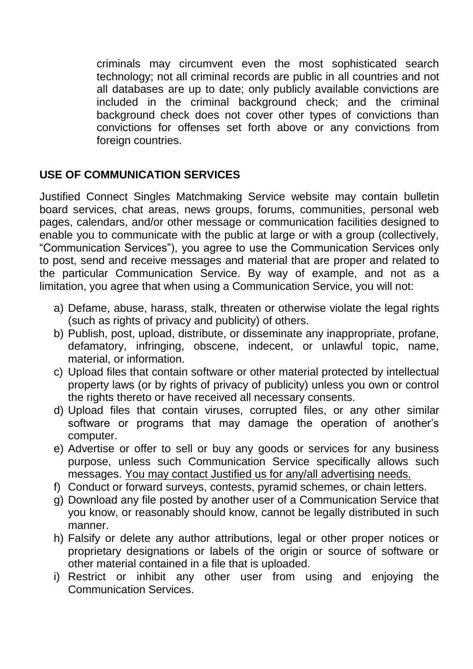criminals may circumvent even the most sophisticated search technology; not all criminal records are public in all countries and not all databases are up to date; only publicly available convictions are included in the criminal background check; and the criminal background check does not cover other types of convictions than convictions for offenses set forth above or any convictions from foreign countries.

# **USE OF COMMUNICATION SERVICES**

Justified Connect Singles Matchmaking Service website may contain bulletin board services, chat areas, news groups, forums, communities, personal web pages, calendars, and/or other message or communication facilities designed to enable you to communicate with the public at large or with a group (collectively, "Communication Services"), you agree to use the Communication Services only to post, send and receive messages and material that are proper and related to the particular Communication Service. By way of example, and not as a limitation, you agree that when using a Communication Service, you will not:

- a) Defame, abuse, harass, stalk, threaten or otherwise violate the legal rights (such as rights of privacy and publicity) of others.
- b) Publish, post, upload, distribute, or disseminate any inappropriate, profane, defamatory, infringing, obscene, indecent, or unlawful topic, name, material, or information.
- c) Upload files that contain software or other material protected by intellectual property laws (or by rights of privacy of publicity) unless you own or control the rights thereto or have received all necessary consents.
- d) Upload files that contain viruses, corrupted files, or any other similar software or programs that may damage the operation of another's computer.
- e) Advertise or offer to sell or buy any goods or services for any business purpose, unless such Communication Service specifically allows such messages. You may contact Justified us for any/all advertising needs.
- f) Conduct or forward surveys, contests, pyramid schemes, or chain letters.
- g) Download any file posted by another user of a Communication Service that you know, or reasonably should know, cannot be legally distributed in such manner.
- h) Falsify or delete any author attributions, legal or other proper notices or proprietary designations or labels of the origin or source of software or other material contained in a file that is uploaded.
- i) Restrict or inhibit any other user from using and enjoying the Communication Services.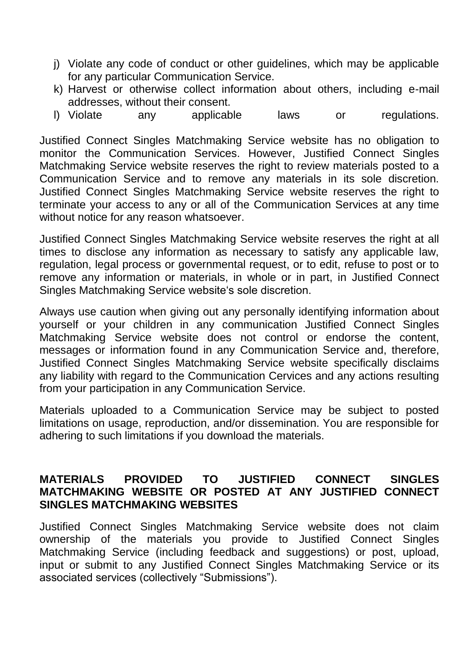- j) Violate any code of conduct or other guidelines, which may be applicable for any particular Communication Service.
- k) Harvest or otherwise collect information about others, including e-mail addresses, without their consent.
- l) Violate any applicable laws or regulations.

Justified Connect Singles Matchmaking Service website has no obligation to monitor the Communication Services. However, Justified Connect Singles Matchmaking Service website reserves the right to review materials posted to a Communication Service and to remove any materials in its sole discretion. Justified Connect Singles Matchmaking Service website reserves the right to terminate your access to any or all of the Communication Services at any time without notice for any reason whatsoever.

Justified Connect Singles Matchmaking Service website reserves the right at all times to disclose any information as necessary to satisfy any applicable law, regulation, legal process or governmental request, or to edit, refuse to post or to remove any information or materials, in whole or in part, in Justified Connect Singles Matchmaking Service website's sole discretion.

Always use caution when giving out any personally identifying information about yourself or your children in any communication Justified Connect Singles Matchmaking Service website does not control or endorse the content, messages or information found in any Communication Service and, therefore, Justified Connect Singles Matchmaking Service website specifically disclaims any liability with regard to the Communication Cervices and any actions resulting from your participation in any Communication Service.

Materials uploaded to a Communication Service may be subject to posted limitations on usage, reproduction, and/or dissemination. You are responsible for adhering to such limitations if you download the materials.

#### **MATERIALS PROVIDED TO JUSTIFIED CONNECT SINGLES MATCHMAKING WEBSITE OR POSTED AT ANY JUSTIFIED CONNECT SINGLES MATCHMAKING WEBSITES**

Justified Connect Singles Matchmaking Service website does not claim ownership of the materials you provide to Justified Connect Singles Matchmaking Service (including feedback and suggestions) or post, upload, input or submit to any Justified Connect Singles Matchmaking Service or its associated services (collectively "Submissions").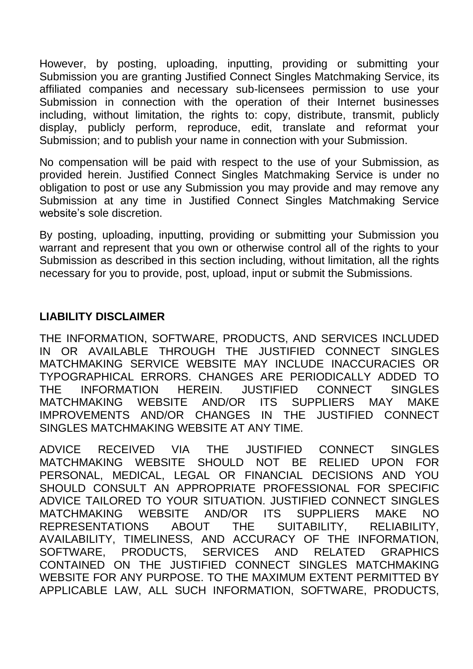However, by posting, uploading, inputting, providing or submitting your Submission you are granting Justified Connect Singles Matchmaking Service, its affiliated companies and necessary sub-licensees permission to use your Submission in connection with the operation of their Internet businesses including, without limitation, the rights to: copy, distribute, transmit, publicly display, publicly perform, reproduce, edit, translate and reformat your Submission; and to publish your name in connection with your Submission.

No compensation will be paid with respect to the use of your Submission, as provided herein. Justified Connect Singles Matchmaking Service is under no obligation to post or use any Submission you may provide and may remove any Submission at any time in Justified Connect Singles Matchmaking Service website's sole discretion.

By posting, uploading, inputting, providing or submitting your Submission you warrant and represent that you own or otherwise control all of the rights to your Submission as described in this section including, without limitation, all the rights necessary for you to provide, post, upload, input or submit the Submissions.

## **LIABILITY DISCLAIMER**

THE INFORMATION, SOFTWARE, PRODUCTS, AND SERVICES INCLUDED IN OR AVAILABLE THROUGH THE JUSTIFIED CONNECT SINGLES MATCHMAKING SERVICE WEBSITE MAY INCLUDE INACCURACIES OR TYPOGRAPHICAL ERRORS. CHANGES ARE PERIODICALLY ADDED TO THE INFORMATION HEREIN. JUSTIFIED CONNECT SINGLES MATCHMAKING WEBSITE AND/OR ITS SUPPLIERS MAY MAKE IMPROVEMENTS AND/OR CHANGES IN THE JUSTIFIED CONNECT SINGLES MATCHMAKING WEBSITE AT ANY TIME.

ADVICE RECEIVED VIA THE JUSTIFIED CONNECT SINGLES MATCHMAKING WEBSITE SHOULD NOT BE RELIED UPON FOR PERSONAL, MEDICAL, LEGAL OR FINANCIAL DECISIONS AND YOU SHOULD CONSULT AN APPROPRIATE PROFESSIONAL FOR SPECIFIC ADVICE TAILORED TO YOUR SITUATION. JUSTIFIED CONNECT SINGLES MATCHMAKING WEBSITE AND/OR ITS SUPPLIERS MAKE NO REPRESENTATIONS ABOUT THE SUITABILITY, RELIABILITY, AVAILABILITY, TIMELINESS, AND ACCURACY OF THE INFORMATION, SOFTWARE, PRODUCTS, SERVICES AND RELATED GRAPHICS CONTAINED ON THE JUSTIFIED CONNECT SINGLES MATCHMAKING WEBSITE FOR ANY PURPOSE. TO THE MAXIMUM EXTENT PERMITTED BY APPLICABLE LAW, ALL SUCH INFORMATION, SOFTWARE, PRODUCTS,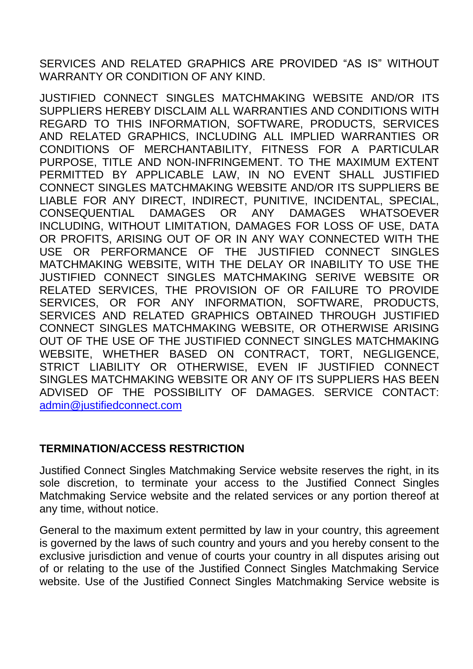SERVICES AND RELATED GRAPHICS ARE PROVIDED "AS IS" WITHOUT WARRANTY OR CONDITION OF ANY KIND.

JUSTIFIED CONNECT SINGLES MATCHMAKING WEBSITE AND/OR ITS SUPPLIERS HEREBY DISCLAIM ALL WARRANTIES AND CONDITIONS WITH REGARD TO THIS INFORMATION, SOFTWARE, PRODUCTS, SERVICES AND RELATED GRAPHICS, INCLUDING ALL IMPLIED WARRANTIES OR CONDITIONS OF MERCHANTABILITY, FITNESS FOR A PARTICULAR PURPOSE, TITLE AND NON-INFRINGEMENT. TO THE MAXIMUM EXTENT PERMITTED BY APPLICABLE LAW, IN NO EVENT SHALL JUSTIFIED CONNECT SINGLES MATCHMAKING WEBSITE AND/OR ITS SUPPLIERS BE LIABLE FOR ANY DIRECT, INDIRECT, PUNITIVE, INCIDENTAL, SPECIAL, CONSEQUENTIAL DAMAGES OR ANY DAMAGES WHATSOEVER INCLUDING, WITHOUT LIMITATION, DAMAGES FOR LOSS OF USE, DATA OR PROFITS, ARISING OUT OF OR IN ANY WAY CONNECTED WITH THE USE OR PERFORMANCE OF THE JUSTIFIED CONNECT SINGLES MATCHMAKING WEBSITE, WITH THE DELAY OR INABILITY TO USE THE JUSTIFIED CONNECT SINGLES MATCHMAKING SERIVE WEBSITE OR RELATED SERVICES, THE PROVISION OF OR FAILURE TO PROVIDE SERVICES, OR FOR ANY INFORMATION, SOFTWARE, PRODUCTS, SERVICES AND RELATED GRAPHICS OBTAINED THROUGH JUSTIFIED CONNECT SINGLES MATCHMAKING WEBSITE, OR OTHERWISE ARISING OUT OF THE USE OF THE JUSTIFIED CONNECT SINGLES MATCHMAKING WEBSITE, WHETHER BASED ON CONTRACT, TORT, NEGLIGENCE, STRICT LIABILITY OR OTHERWISE, EVEN IF JUSTIFIED CONNECT SINGLES MATCHMAKING WEBSITE OR ANY OF ITS SUPPLIERS HAS BEEN ADVISED OF THE POSSIBILITY OF DAMAGES. SERVICE CONTACT: [admin@justifiedconnect.com](mailto:admin@justifiedconnect.com)

# **TERMINATION/ACCESS RESTRICTION**

Justified Connect Singles Matchmaking Service website reserves the right, in its sole discretion, to terminate your access to the Justified Connect Singles Matchmaking Service website and the related services or any portion thereof at any time, without notice.

General to the maximum extent permitted by law in your country, this agreement is governed by the laws of such country and yours and you hereby consent to the exclusive jurisdiction and venue of courts your country in all disputes arising out of or relating to the use of the Justified Connect Singles Matchmaking Service website. Use of the Justified Connect Singles Matchmaking Service website is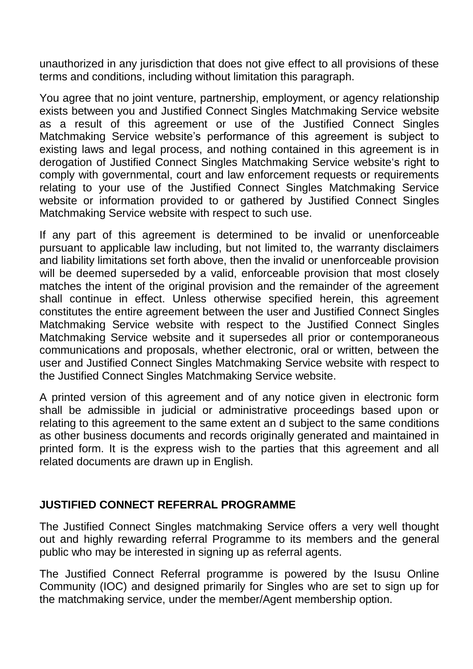unauthorized in any jurisdiction that does not give effect to all provisions of these terms and conditions, including without limitation this paragraph.

You agree that no joint venture, partnership, employment, or agency relationship exists between you and Justified Connect Singles Matchmaking Service website as a result of this agreement or use of the Justified Connect Singles Matchmaking Service website's performance of this agreement is subject to existing laws and legal process, and nothing contained in this agreement is in derogation of Justified Connect Singles Matchmaking Service website's right to comply with governmental, court and law enforcement requests or requirements relating to your use of the Justified Connect Singles Matchmaking Service website or information provided to or gathered by Justified Connect Singles Matchmaking Service website with respect to such use.

If any part of this agreement is determined to be invalid or unenforceable pursuant to applicable law including, but not limited to, the warranty disclaimers and liability limitations set forth above, then the invalid or unenforceable provision will be deemed superseded by a valid, enforceable provision that most closely matches the intent of the original provision and the remainder of the agreement shall continue in effect. Unless otherwise specified herein, this agreement constitutes the entire agreement between the user and Justified Connect Singles Matchmaking Service website with respect to the Justified Connect Singles Matchmaking Service website and it supersedes all prior or contemporaneous communications and proposals, whether electronic, oral or written, between the user and Justified Connect Singles Matchmaking Service website with respect to the Justified Connect Singles Matchmaking Service website.

A printed version of this agreement and of any notice given in electronic form shall be admissible in judicial or administrative proceedings based upon or relating to this agreement to the same extent an d subject to the same conditions as other business documents and records originally generated and maintained in printed form. It is the express wish to the parties that this agreement and all related documents are drawn up in English.

## **JUSTIFIED CONNECT REFERRAL PROGRAMME**

The Justified Connect Singles matchmaking Service offers a very well thought out and highly rewarding referral Programme to its members and the general public who may be interested in signing up as referral agents.

The Justified Connect Referral programme is powered by the Isusu Online Community (IOC) and designed primarily for Singles who are set to sign up for the matchmaking service, under the member/Agent membership option.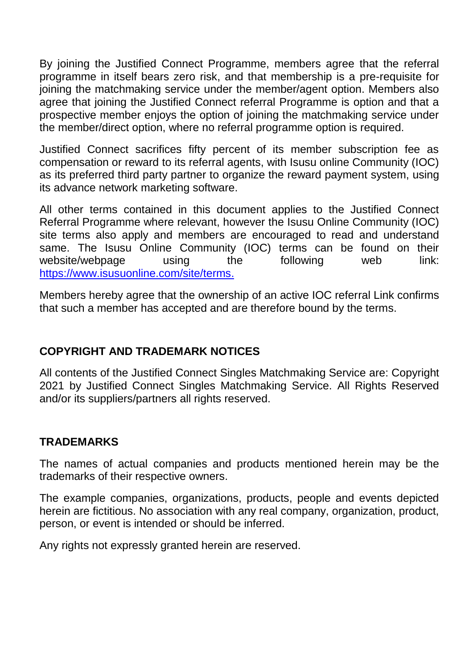By joining the Justified Connect Programme, members agree that the referral programme in itself bears zero risk, and that membership is a pre-requisite for joining the matchmaking service under the member/agent option. Members also agree that joining the Justified Connect referral Programme is option and that a prospective member enjoys the option of joining the matchmaking service under the member/direct option, where no referral programme option is required.

Justified Connect sacrifices fifty percent of its member subscription fee as compensation or reward to its referral agents, with Isusu online Community (IOC) as its preferred third party partner to organize the reward payment system, using its advance network marketing software.

All other terms contained in this document applies to the Justified Connect Referral Programme where relevant, however the Isusu Online Community (IOC) site terms also apply and members are encouraged to read and understand same. The Isusu Online Community (IOC) terms can be found on their website/webpage using the following web link: <https://www.isusuonline.com/site/terms.>

Members hereby agree that the ownership of an active IOC referral Link confirms that such a member has accepted and are therefore bound by the terms.

# **COPYRIGHT AND TRADEMARK NOTICES**

All contents of the Justified Connect Singles Matchmaking Service are: Copyright 2021 by Justified Connect Singles Matchmaking Service. All Rights Reserved and/or its suppliers/partners all rights reserved.

# **TRADEMARKS**

The names of actual companies and products mentioned herein may be the trademarks of their respective owners.

The example companies, organizations, products, people and events depicted herein are fictitious. No association with any real company, organization, product, person, or event is intended or should be inferred.

Any rights not expressly granted herein are reserved.